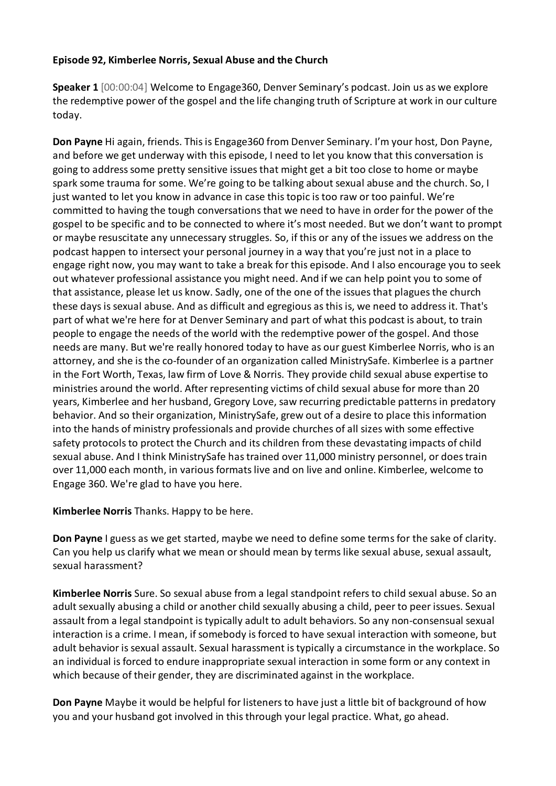#### **Episode 92, Kimberlee Norris, Sexual Abuse and the Church**

**Speaker 1** [00:00:04] Welcome to Engage360, Denver Seminary's podcast. Join us as we explore the redemptive power of the gospel and the life changing truth of Scripture at work in our culture today.

**Don Payne** Hi again, friends. This is Engage360 from Denver Seminary. I'm your host, Don Payne, and before we get underway with this episode, I need to let you know that this conversation is going to address some pretty sensitive issues that might get a bit too close to home or maybe spark some trauma for some. We're going to be talking about sexual abuse and the church. So, I just wanted to let you know in advance in case this topic is too raw or too painful. We're committed to having the tough conversations that we need to have in order for the power of the gospel to be specific and to be connected to where it's most needed. But we don't want to prompt or maybe resuscitate any unnecessary struggles. So, if this or any of the issues we address on the podcast happen to intersect your personal journey in a way that you're just not in a place to engage right now, you may want to take a break for this episode. And I also encourage you to seek out whatever professional assistance you might need. And if we can help point you to some of that assistance, please let us know. Sadly, one of the one of the issues that plagues the church these days is sexual abuse. And as difficult and egregious as this is, we need to address it. That's part of what we're here for at Denver Seminary and part of what this podcast is about, to train people to engage the needs of the world with the redemptive power of the gospel. And those needs are many. But we're really honored today to have as our guest Kimberlee Norris, who is an attorney, and she is the co-founder of an organization called MinistrySafe. Kimberlee is a partner in the Fort Worth, Texas, law firm of Love & Norris. They provide child sexual abuse expertise to ministries around the world. After representing victims of child sexual abuse for more than 20 years, Kimberlee and her husband, Gregory Love, saw recurring predictable patterns in predatory behavior. And so their organization, MinistrySafe, grew out of a desire to place this information into the hands of ministry professionals and provide churches of all sizes with some effective safety protocols to protect the Church and its children from these devastating impacts of child sexual abuse. And I think MinistrySafe has trained over 11,000 ministry personnel, or does train over 11,000 each month, in various formats live and on live and online. Kimberlee, welcome to Engage 360. We're glad to have you here.

**Kimberlee Norris** Thanks. Happy to be here.

**Don Payne** I guess as we get started, maybe we need to define some terms for the sake of clarity. Can you help us clarify what we mean or should mean by terms like sexual abuse, sexual assault, sexual harassment?

**Kimberlee Norris** Sure. So sexual abuse from a legal standpoint refers to child sexual abuse. So an adult sexually abusing a child or another child sexually abusing a child, peer to peer issues. Sexual assault from a legal standpoint is typically adult to adult behaviors. So any non-consensual sexual interaction is a crime. I mean, if somebody is forced to have sexual interaction with someone, but adult behavior is sexual assault. Sexual harassment is typically a circumstance in the workplace. So an individual is forced to endure inappropriate sexual interaction in some form or any context in which because of their gender, they are discriminated against in the workplace.

**Don Payne** Maybe it would be helpful for listeners to have just a little bit of background of how you and your husband got involved in this through your legal practice. What, go ahead.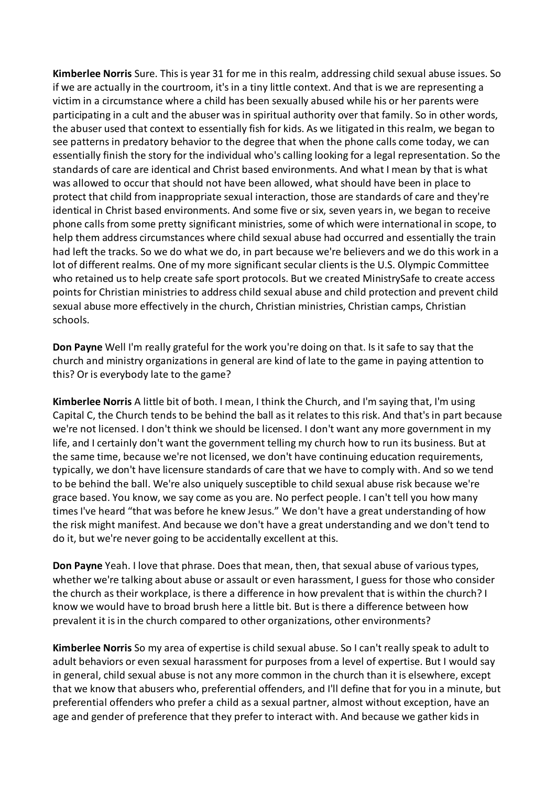**Kimberlee Norris** Sure. This is year 31 for me in this realm, addressing child sexual abuse issues. So if we are actually in the courtroom, it's in a tiny little context. And that is we are representing a victim in a circumstance where a child has been sexually abused while his or her parents were participating in a cult and the abuser was in spiritual authority over that family. So in other words, the abuser used that context to essentially fish for kids. As we litigated in this realm, we began to see patterns in predatory behavior to the degree that when the phone calls come today, we can essentially finish the story for the individual who's calling looking for a legal representation. So the standards of care are identical and Christ based environments. And what I mean by that is what was allowed to occur that should not have been allowed, what should have been in place to protect that child from inappropriate sexual interaction, those are standards of care and they're identical in Christ based environments. And some five or six, seven yearsin, we began to receive phone calls from some pretty significant ministries, some of which were international in scope, to help them address circumstances where child sexual abuse had occurred and essentially the train had left the tracks. So we do what we do, in part because we're believers and we do this work in a lot of different realms. One of my more significant secular clients is the U.S. Olympic Committee who retained us to help create safe sport protocols. But we created MinistrySafe to create access points for Christian ministries to address child sexual abuse and child protection and prevent child sexual abuse more effectively in the church, Christian ministries, Christian camps, Christian schools.

**Don Payne** Well I'm really grateful for the work you're doing on that. Is it safe to say that the church and ministry organizations in general are kind of late to the game in paying attention to this? Or is everybody late to the game?

**Kimberlee Norris** A little bit of both. I mean, I think the Church, and I'm saying that, I'm using Capital C, the Church tendsto be behind the ball as it relates to this risk. And that's in part because we're not licensed. I don't think we should be licensed. I don't want any more government in my life, and I certainly don't want the government telling my church how to run its business. But at the same time, because we're not licensed, we don't have continuing education requirements, typically, we don't have licensure standards of care that we have to comply with. And so we tend to be behind the ball. We're also uniquely susceptible to child sexual abuse risk because we're grace based. You know, we say come as you are. No perfect people. I can't tell you how many times I've heard "that was before he knew Jesus." We don't have a great understanding of how the risk might manifest. And because we don't have a great understanding and we don't tend to do it, but we're never going to be accidentally excellent at this.

**Don Payne** Yeah. I love that phrase. Does that mean, then, that sexual abuse of various types, whether we're talking about abuse or assault or even harassment, I guess for those who consider the church as their workplace, is there a difference in how prevalent that is within the church? I know we would have to broad brush here a little bit. But is there a difference between how prevalent it is in the church compared to other organizations, other environments?

**Kimberlee Norris** So my area of expertise is child sexual abuse. So I can't really speak to adult to adult behaviors or even sexual harassment for purposes from a level of expertise. But I would say in general, child sexual abuse is not any more common in the church than it is elsewhere, except that we know that abusers who, preferential offenders, and I'll define that for you in a minute, but preferential offenders who prefer a child as a sexual partner, almost without exception, have an age and gender of preference that they prefer to interact with. And because we gather kids in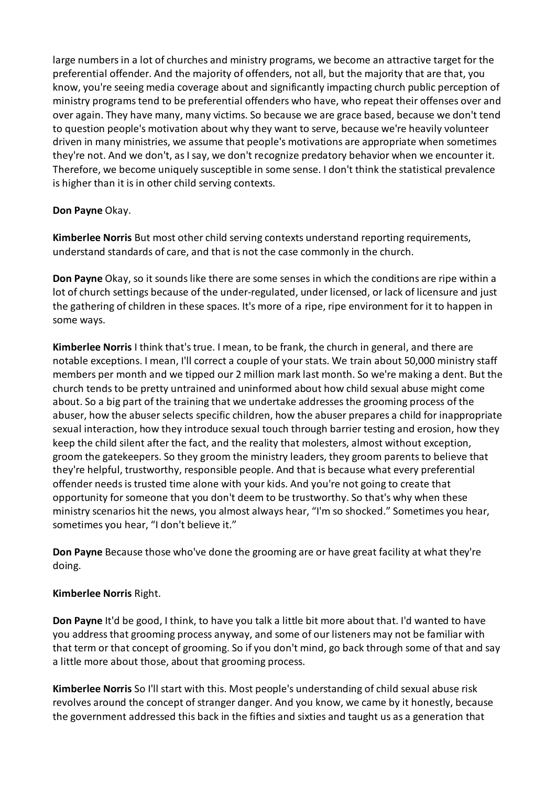large numbers in a lot of churches and ministry programs, we become an attractive target for the preferential offender. And the majority of offenders, not all, but the majority that are that, you know, you're seeing media coverage about and significantly impacting church public perception of ministry programs tend to be preferential offenders who have, who repeat their offenses over and over again. They have many, many victims. So because we are grace based, because we don't tend to question people's motivation about why they want to serve, because we're heavily volunteer driven in many ministries, we assume that people's motivations are appropriate when sometimes they're not. And we don't, as I say, we don't recognize predatory behavior when we encounter it. Therefore, we become uniquely susceptible in some sense. I don't think the statistical prevalence is higher than it is in other child serving contexts.

# **Don Payne** Okay.

**Kimberlee Norris** But most other child serving contexts understand reporting requirements, understand standards of care, and that is not the case commonly in the church.

**Don Payne** Okay, so it sounds like there are some senses in which the conditions are ripe within a lot of church settings because of the under-regulated, under licensed, or lack of licensure and just the gathering of children in these spaces. It's more of a ripe, ripe environment for it to happen in some ways.

**Kimberlee Norris** I think that's true. I mean, to be frank, the church in general, and there are notable exceptions. I mean, I'll correct a couple of your stats. We train about 50,000 ministry staff members per month and we tipped our 2 million mark last month. So we're making a dent. But the church tends to be pretty untrained and uninformed about how child sexual abuse might come about. So a big part of the training that we undertake addresses the grooming process of the abuser, how the abuser selects specific children, how the abuser prepares a child for inappropriate sexual interaction, how they introduce sexual touch through barrier testing and erosion, how they keep the child silent after the fact, and the reality that molesters, almost without exception, groom the gatekeepers. So they groom the ministry leaders, they groom parents to believe that they're helpful, trustworthy, responsible people. And that is because what every preferential offender needs is trusted time alone with your kids. And you're not going to create that opportunity for someone that you don't deem to be trustworthy. So that's why when these ministry scenarios hit the news, you almost always hear, "I'm so shocked." Sometimes you hear, sometimes you hear, "I don't believe it."

**Don Payne** Because those who've done the grooming are or have great facility at what they're doing.

# **Kimberlee Norris** Right.

**Don Payne** It'd be good, I think, to have you talk a little bit more about that. I'd wanted to have you address that grooming process anyway, and some of our listeners may not be familiar with that term or that concept of grooming. So if you don't mind, go back through some of that and say a little more about those, about that grooming process.

**Kimberlee Norris** So I'll start with this. Most people's understanding of child sexual abuse risk revolves around the concept of stranger danger. And you know, we came by it honestly, because the government addressed this back in the fifties and sixties and taught us as a generation that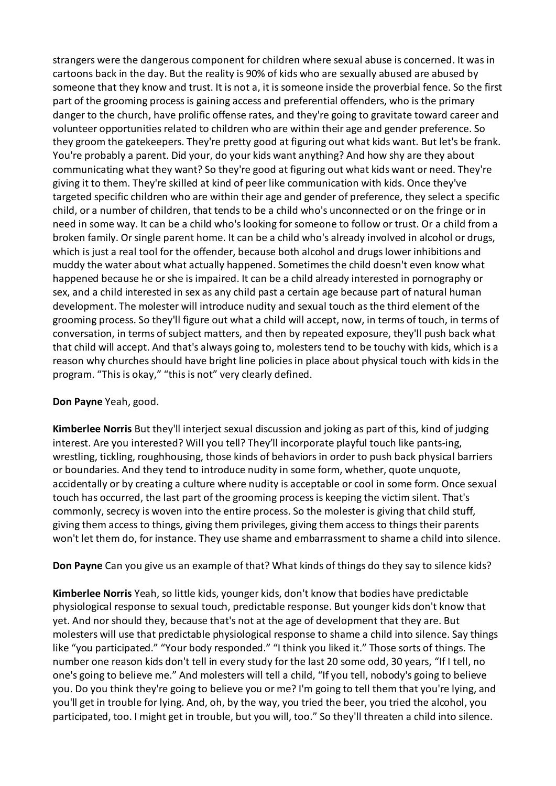strangers were the dangerous component for children where sexual abuse is concerned. It was in cartoons back in the day. But the reality is 90% of kids who are sexually abused are abused by someone that they know and trust. It is not a, it is someone inside the proverbial fence. So the first part of the grooming process is gaining access and preferential offenders, who is the primary danger to the church, have prolific offense rates, and they're going to gravitate toward career and volunteer opportunities related to children who are within their age and gender preference. So they groom the gatekeepers. They're pretty good at figuring out what kids want. But let's be frank. You're probably a parent. Did your, do your kids want anything? And how shy are they about communicating what they want? So they're good at figuring out what kids want or need. They're giving it to them. They're skilled at kind of peer like communication with kids. Once they've targeted specific children who are within their age and gender of preference, they select a specific child, or a number of children, that tends to be a child who's unconnected or on the fringe or in need in some way. It can be a child who's looking for someone to follow or trust. Or a child from a broken family. Or single parent home. It can be a child who's already involved in alcohol or drugs, which is just a real tool for the offender, because both alcohol and drugs lower inhibitions and muddy the water about what actually happened. Sometimes the child doesn't even know what happened because he or she isimpaired. It can be a child already interested in pornography or sex, and a child interested in sex as any child past a certain age because part of natural human development. The molester will introduce nudity and sexual touch as the third element of the grooming process. So they'll figure out what a child will accept, now, in terms of touch, in terms of conversation, in terms of subject matters, and then by repeated exposure, they'll push back what that child will accept. And that's always going to, molesters tend to be touchy with kids, which is a reason why churches should have bright line policies in place about physical touch with kids in the program. "This is okay," "this is not" very clearly defined.

# **Don Payne** Yeah, good.

**Kimberlee Norris** But they'll interject sexual discussion and joking as part of this, kind of judging interest. Are you interested? Will you tell? They'll incorporate playful touch like pants-ing, wrestling, tickling, roughhousing, those kinds of behaviors in order to push back physical barriers or boundaries. And they tend to introduce nudity in some form, whether, quote unquote, accidentally or by creating a culture where nudity is acceptable or cool in some form. Once sexual touch has occurred, the last part of the grooming process is keeping the victim silent. That's commonly, secrecy is woven into the entire process. So the molester is giving that child stuff, giving them access to things, giving them privileges, giving them access to things their parents won't let them do, for instance. They use shame and embarrassment to shame a child into silence.

**Don Payne** Can you give us an example of that? What kinds of things do they say to silence kids?

**Kimberlee Norris** Yeah, so little kids, younger kids, don't know that bodies have predictable physiological response to sexual touch, predictable response. But younger kids don't know that yet. And nor should they, because that's not at the age of development that they are. But molesters will use that predictable physiological response to shame a child into silence. Say things like "you participated." "Your body responded." "I think you liked it." Those sorts of things. The number one reason kids don't tell in every study for the last 20 some odd, 30 years, "If I tell, no one's going to believe me." And molesters will tell a child, "If you tell, nobody's going to believe you. Do you think they're going to believe you or me? I'm going to tell them that you're lying, and you'll get in trouble for lying. And, oh, by the way, you tried the beer, you tried the alcohol, you participated, too. I might get in trouble, but you will, too." So they'll threaten a child into silence.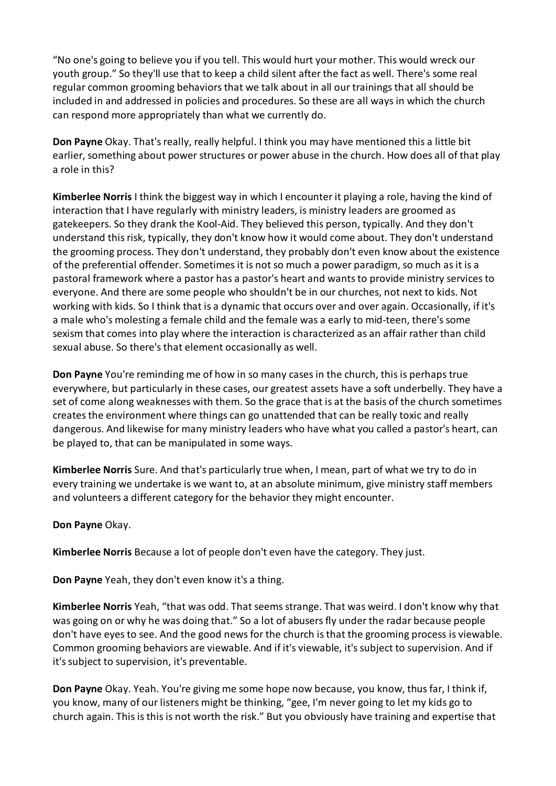"No one's going to believe you if you tell. This would hurt your mother. This would wreck our youth group." So they'll use that to keep a child silent after the fact as well. There's some real regular common grooming behaviors that we talk about in all our trainings that all should be included in and addressed in policies and procedures. So these are all ways in which the church can respond more appropriately than what we currently do.

**Don Payne** Okay. That's really, really helpful. I think you may have mentioned this a little bit earlier, something about power structures or power abuse in the church. How does all of that play a role in this?

**Kimberlee Norris** I think the biggest way in which I encounter it playing a role, having the kind of interaction that I have regularly with ministry leaders, is ministry leaders are groomed as gatekeepers. So they drank the Kool-Aid. They believed this person, typically. And they don't understand this risk, typically, they don't know how it would come about. They don't understand the grooming process. They don't understand, they probably don't even know about the existence of the preferential offender. Sometimes it is not so much a power paradigm, so much as it is a pastoral framework where a pastor has a pastor's heart and wants to provide ministry services to everyone. And there are some people who shouldn't be in our churches, not next to kids. Not working with kids. So I think that is a dynamic that occurs over and over again. Occasionally, if it's a male who's molesting a female child and the female was a early to mid-teen, there's some sexism that comes into play where the interaction is characterized as an affair rather than child sexual abuse. So there's that element occasionally as well.

**Don Payne** You're reminding me of how in so many cases in the church, this is perhaps true everywhere, but particularly in these cases, our greatest assets have a soft underbelly. They have a set of come along weaknesses with them. So the grace that is at the basis of the church sometimes creates the environment where things can go unattended that can be really toxic and really dangerous. And likewise for many ministry leaders who have what you called a pastor's heart, can be played to, that can be manipulated in some ways.

**Kimberlee Norris** Sure. And that's particularly true when, I mean, part of what we try to do in every training we undertake is we want to, at an absolute minimum, give ministry staff members and volunteers a different category for the behavior they might encounter.

#### **Don Payne** Okay.

**Kimberlee Norris** Because a lot of people don't even have the category. They just.

**Don Payne** Yeah, they don't even know it's a thing.

**Kimberlee Norris** Yeah, "that was odd. That seems strange. That was weird. I don't know why that was going on or why he was doing that." So a lot of abusers fly under the radar because people don't have eyes to see. And the good news for the church is that the grooming process is viewable. Common grooming behaviors are viewable. And if it's viewable, it's subject to supervision. And if it's subject to supervision, it's preventable.

**Don Payne** Okay. Yeah. You're giving me some hope now because, you know, thus far, I think if, you know, many of our listeners might be thinking, "gee, I'm never going to let my kids go to church again. This is this is not worth the risk." But you obviously have training and expertise that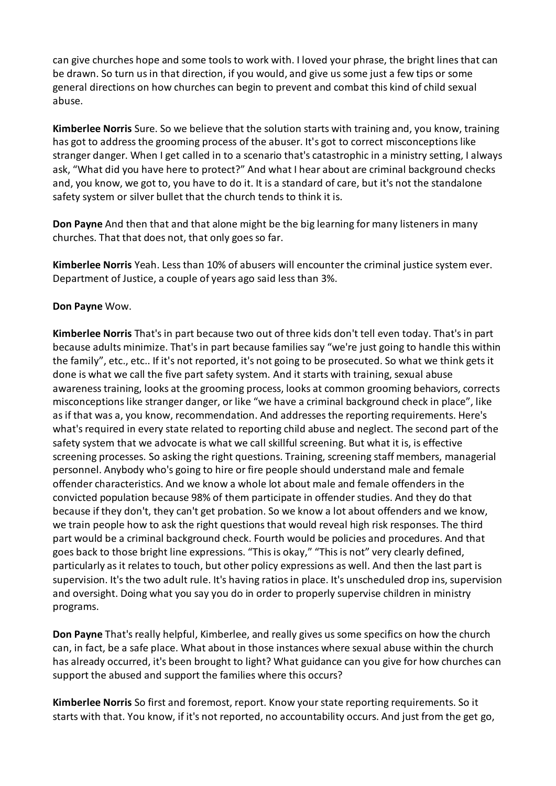can give churches hope and some tools to work with. I loved your phrase, the bright lines that can be drawn. So turn us in that direction, if you would, and give us some just a few tips or some general directions on how churches can begin to prevent and combat this kind of child sexual abuse.

**Kimberlee Norris** Sure. So we believe that the solution starts with training and, you know, training has got to address the grooming process of the abuser. It's got to correct misconceptions like stranger danger. When I get called in to a scenario that's catastrophic in a ministry setting, I always ask, "What did you have here to protect?" And what I hear about are criminal background checks and, you know, we got to, you have to do it. It is a standard of care, but it's not the standalone safety system or silver bullet that the church tends to think it is.

**Don Payne** And then that and that alone might be the big learning for many listeners in many churches. That that does not, that only goes so far.

**Kimberlee Norris** Yeah. Less than 10% of abusers will encounter the criminal justice system ever. Department of Justice, a couple of years ago said less than 3%.

#### **Don Payne** Wow.

**Kimberlee Norris** That's in part because two out of three kids don't tell even today. That's in part because adults minimize. That's in part because families say "we're just going to handle this within the family", etc., etc.. If it's not reported, it's not going to be prosecuted. So what we think gets it done is what we call the five part safety system. And it starts with training, sexual abuse awareness training, looks at the grooming process, looks at common grooming behaviors, corrects misconceptions like stranger danger, or like "we have a criminal background check in place", like as if that was a, you know, recommendation. And addresses the reporting requirements. Here's what's required in every state related to reporting child abuse and neglect. The second part of the safety system that we advocate is what we call skillful screening. But what it is, is effective screening processes. So asking the right questions. Training, screening staff members, managerial personnel. Anybody who's going to hire or fire people should understand male and female offender characteristics. And we know a whole lot about male and female offenders in the convicted population because 98% of them participate in offender studies. And they do that because if they don't, they can't get probation. So we know a lot about offenders and we know, we train people how to ask the right questions that would reveal high risk responses. The third part would be a criminal background check. Fourth would be policies and procedures. And that goes back to those bright line expressions. "This is okay," "This is not" very clearly defined, particularly as it relates to touch, but other policy expressions as well. And then the last part is supervision. It's the two adult rule. It's having ratios in place. It's unscheduled drop ins, supervision and oversight. Doing what you say you do in order to properly supervise children in ministry programs.

**Don Payne** That's really helpful, Kimberlee, and really gives us some specifics on how the church can, in fact, be a safe place. What about in those instances where sexual abuse within the church has already occurred, it's been brought to light? What guidance can you give for how churches can support the abused and support the families where this occurs?

**Kimberlee Norris** So first and foremost, report. Know your state reporting requirements. So it starts with that. You know, if it's not reported, no accountability occurs. And just from the get go,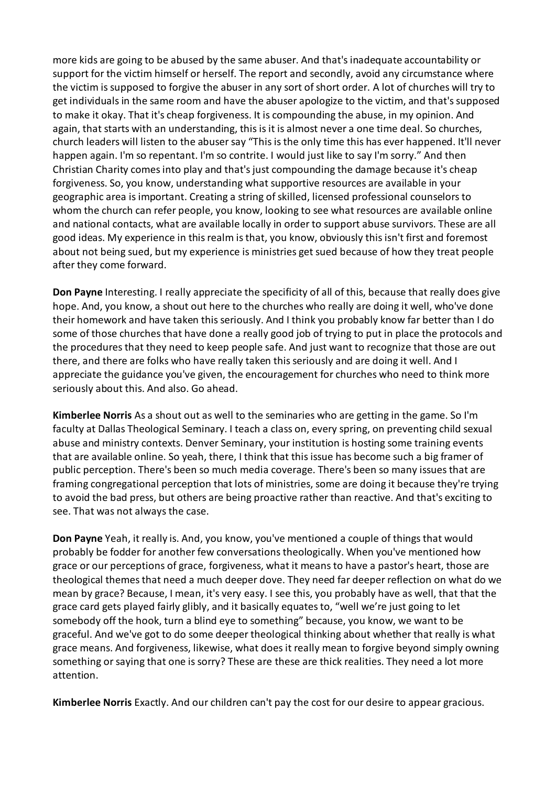more kids are going to be abused by the same abuser. And that's inadequate accountability or support for the victim himself or herself. The report and secondly, avoid any circumstance where the victim is supposed to forgive the abuser in any sort of short order. A lot of churches will try to get individuals in the same room and have the abuser apologize to the victim, and that's supposed to make it okay. That it's cheap forgiveness. It is compounding the abuse, in my opinion. And again, that starts with an understanding, this is it is almost never a one time deal. So churches, church leaders will listen to the abuser say "This is the only time this has ever happened. It'll never happen again. I'm so repentant. I'm so contrite. I would just like to say I'm sorry." And then Christian Charity comes into play and that's just compounding the damage because it's cheap forgiveness. So, you know, understanding what supportive resources are available in your geographic area is important. Creating a string of skilled, licensed professional counselors to whom the church can refer people, you know, looking to see what resources are available online and national contacts, what are available locally in order to support abuse survivors. These are all good ideas. My experience in this realm is that, you know, obviously this isn't first and foremost about not being sued, but my experience is ministries get sued because of how they treat people after they come forward.

**Don Payne** Interesting. I really appreciate the specificity of all of this, because that really does give hope. And, you know, a shout out here to the churches who really are doing it well, who've done their homework and have taken this seriously. And I think you probably know far better than I do some of those churches that have done a really good job of trying to put in place the protocols and the procedures that they need to keep people safe. And just want to recognize that those are out there, and there are folks who have really taken this seriously and are doing it well. And I appreciate the guidance you've given, the encouragement for churches who need to think more seriously about this. And also. Go ahead.

**Kimberlee Norris** As a shout out as well to the seminaries who are getting in the game. So I'm faculty at Dallas Theological Seminary. I teach a class on, every spring, on preventing child sexual abuse and ministry contexts. Denver Seminary, your institution is hosting some training events that are available online. So yeah, there, I think that this issue has become such a big framer of public perception. There's been so much media coverage. There's been so many issues that are framing congregational perception that lots of ministries, some are doing it because they're trying to avoid the bad press, but others are being proactive rather than reactive. And that's exciting to see. That was not always the case.

**Don Payne** Yeah, it really is. And, you know, you've mentioned a couple of things that would probably be fodder for another few conversations theologically. When you've mentioned how grace or our perceptions of grace, forgiveness, what it means to have a pastor's heart, those are theological themes that need a much deeper dove. They need far deeper reflection on what do we mean by grace? Because, I mean, it's very easy. I see this, you probably have as well, that that the grace card gets played fairly glibly, and it basically equates to, "well we're just going to let somebody off the hook, turn a blind eye to something" because, you know, we want to be graceful. And we've got to do some deeper theological thinking about whether that really is what grace means. And forgiveness, likewise, what does it really mean to forgive beyond simply owning something or saying that one is sorry? These are these are thick realities. They need a lot more attention.

**Kimberlee Norris** Exactly. And our children can't pay the cost for our desire to appear gracious.